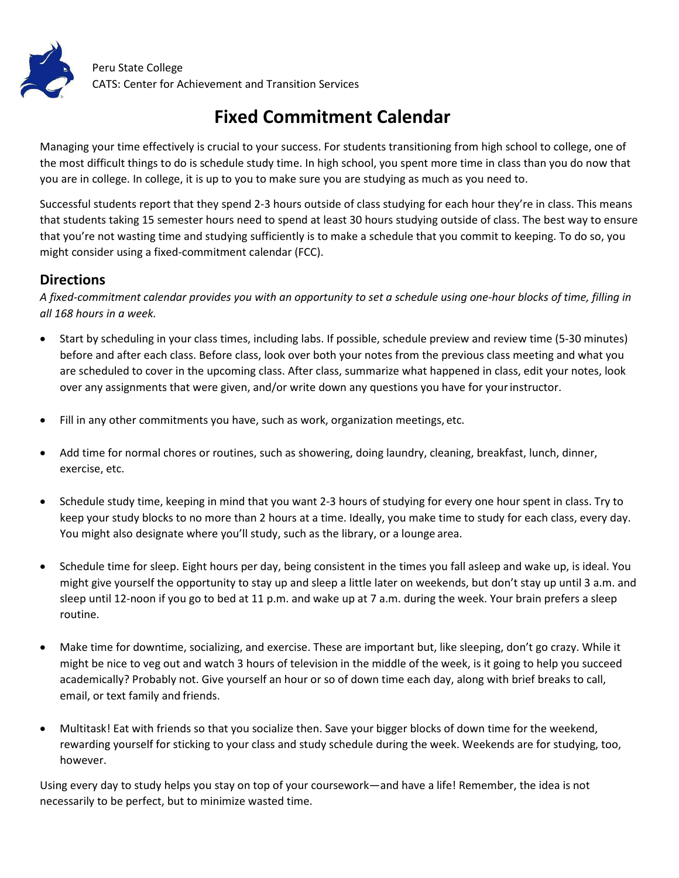

## **Fixed Commitment Calendar**

Managing your time effectively is crucial to your success. For students transitioning from high school to college, one of the most difficult things to do is schedule study time. In high school, you spent more time in class than you do now that you are in college. In college, it is up to you to make sure you are studying as much as you need to.

Successful students report that they spend 2-3 hours outside of class studying for each hour they're in class. This means that students taking 15 semester hours need to spend at least 30 hours studying outside of class. The best way to ensure that you're not wasting time and studying sufficiently is to make a schedule that you commit to keeping. To do so, you might consider using a fixed-commitment calendar (FCC).

## **Directions**

*A fixed-commitment calendar provides you with an opportunity to set a schedule using one-hour blocks of time, filling in all 168 hours in a week.*

- · Start by scheduling in your class times, including labs. If possible, schedule preview and review time (5-30 minutes) before and after each class. Before class, look over both your notes from the previous class meeting and what you are scheduled to cover in the upcoming class. After class, summarize what happened in class, edit your notes, look over any assignments that were given, and/or write down any questions you have for yourinstructor.
- · Fill in any other commitments you have, such as work, organization meetings, etc.
- Add time for normal chores or routines, such as showering, doing laundry, cleaning, breakfast, lunch, dinner, exercise, etc.
- · Schedule study time, keeping in mind that you want 2-3 hours of studying for every one hour spent in class. Try to keep your study blocks to no more than 2 hours at a time. Ideally, you make time to study for each class, every day. You might also designate where you'll study, such as the library, or a lounge area.
- · Schedule time for sleep. Eight hours per day, being consistent in the times you fall asleep and wake up, is ideal. You might give yourself the opportunity to stay up and sleep a little later on weekends, but don't stay up until 3 a.m. and sleep until 12-noon if you go to bed at 11 p.m. and wake up at 7 a.m. during the week. Your brain prefers a sleep routine.
- · Make time for downtime, socializing, and exercise. These are important but, like sleeping, don't go crazy. While it might be nice to veg out and watch 3 hours of television in the middle of the week, is it going to help you succeed academically? Probably not. Give yourself an hour or so of down time each day, along with brief breaks to call, email, or text family and friends.
- · Multitask! Eat with friends so that you socialize then. Save your bigger blocks of down time for the weekend, rewarding yourself for sticking to your class and study schedule during the week. Weekends are for studying, too, however.

Using every day to study helps you stay on top of your coursework—and have a life! Remember, the idea is not necessarily to be perfect, but to minimize wasted time.